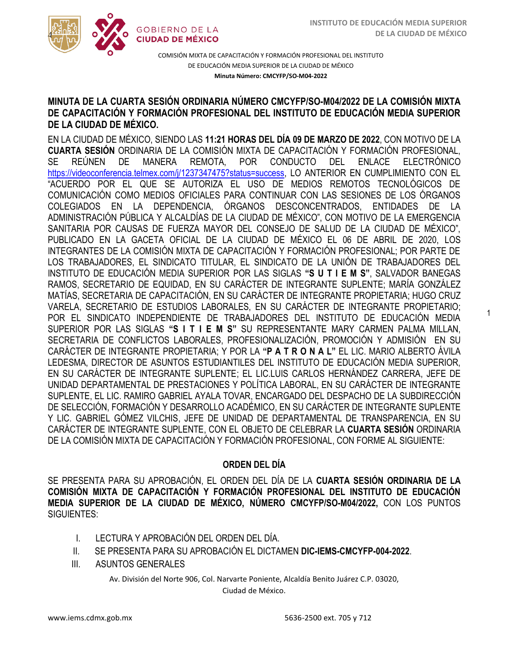1



COMISIÓN MIXTA DE CAPACITACIÓN Y FORMACIÓN PROFESIONAL DEL INSTITUTO DE EDUCACIÓN MEDIA SUPERIOR DE LA CIUDAD DE MÉXICO **Minuta Número: CMCYFP/SO-M04-2022**

### MINOTA DE LA COANTA SESION ONDINANTA NOMENO CIMOTI PISO-MIGAZOZZ DE LA COMISION MIXTA<br>DE CAPACITACIÓN Y FORMACIÓN PROFESIONAL DEL INSTITUTO DE EDUCACIÓN MEDIA SUPERIOR **MINUTA DE LA CUARTA SESIÓN ORDINARIA NÚMERO CMCYFP/SO-M04/2022 DE LA COMISIÓN MIXTA DE LA CIUDAD DE MÉXICO.**

EN LA CIUDAD DE MÉXICO, SIENDO LAS **11:21 HORAS DEL DÍA 09 DE MARZO DE 2022**, CON MOTIVO DE LA **CUARTA SESIÓN** ORDINARIA DE LA COMISIÓN MIXTA DE CAPACITACIÓN Y FORMACIÓN PROFESIONAL, SE REÚNEN DE MANERA REMOTA, POR CONDUCTO DEL ENLACE ELECTRÓNICO [https://videoconferencia.telmex.com/j/1237347475?status=success,](https://videoconferencia.telmex.com/j/1237347475?status=success) LO ANTERIOR EN CUMPLIMIENTO CON EL "ACUERDO POR EL QUE SE AUTORIZA EL USO DE MEDIOS REMOTOS TECNOLÓGICOS DE COMUNICACIÓN COMO MEDIOS OFICIALES PARA CONTINUAR CON LAS SESIONES DE LOS ÓRGANOS COLEGIADOS EN LA DEPENDENCIA, ÓRGANOS DESCONCENTRADOS, ENTIDADES DE LA ADMINISTRACIÓN PÚBLICA Y ALCALDÍAS DE LA CIUDAD DE MÉXICO", CON MOTIVO DE LA EMERGENCIA SANITARIA POR CAUSAS DE FUERZA MAYOR DEL CONSEJO DE SALUD DE LA CIUDAD DE MÉXICO", PUBLICADO EN LA GACETA OFICIAL DE LA CIUDAD DE MÉXICO EL 06 DE ABRIL DE 2020, LOS INTEGRANTES DE LA COMISIÓN MIXTA DE CAPACITACIÓN Y FORMACIÓN PROFESIONAL; POR PARTE DE LOS TRABAJADORES, EL SINDICATO TITULAR, EL SINDICATO DE LA UNIÓN DE TRABAJADORES DEL INSTITUTO DE EDUCACIÓN MEDIA SUPERIOR POR LAS SIGLAS **"S U T I E M S"**, SALVADOR BANEGAS RAMOS, SECRETARIO DE EQUIDAD, EN SU CARÁCTER DE INTEGRANTE SUPLENTE; MARÍA GONZÁLEZ MATÍAS, SECRETARIA DE CAPACITACIÓN, EN SU CARÁCTER DE INTEGRANTE PROPIETARIA; HUGO CRUZ VARELA, SECRETARIO DE ESTUDIOS LABORALES, EN SU CARÁCTER DE INTEGRANTE PROPIETARIO; POR EL SINDICATO INDEPENDIENTE DE TRABAJADORES DEL INSTITUTO DE EDUCACIÓN MEDIA SUPERIOR POR LAS SIGLAS **"S I T I E M S"** SU REPRESENTANTE MARY CARMEN PALMA MILLAN, SECRETARIA DE CONFLICTOS LABORALES, PROFESIONALIZACIÓN, PROMOCIÓN Y ADMISIÓN EN SU CARÁCTER DE INTEGRANTE PROPIETARIA; Y POR LA **"P A T R O N A L"** EL LIC. MARIO ALBERTO ÁVILA LEDESMA, DIRECTOR DE ASUNTOS ESTUDIANTILES DEL INSTITUTO DE EDUCACIÓN MEDIA SUPERIOR, EN SU CARÁCTER DE INTEGRANTE SUPLENTE; EL LIC.LUIS CARLOS HERNÁNDEZ CARRERA, JEFE DE UNIDAD DEPARTAMENTAL DE PRESTACIONES Y POLÍTICA LABORAL, EN SU CARÁCTER DE INTEGRANTE SUPLENTE, EL LIC. RAMIRO GABRIEL AYALA TOVAR, ENCARGADO DEL DESPACHO DE LA SUBDIRECCIÓN DE SELECCIÓN, FORMACIÓN Y DESARROLLO ACADÉMICO, EN SU CARÁCTER DE INTEGRANTE SUPLENTE Y LIC. GABRIEL GÓMEZ VILCHIS, JEFE DE UNIDAD DE DEPARTAMENTAL DE TRANSPARENCIA, EN SU CARÁCTER DE INTEGRANTE SUPLENTE, CON EL OBJETO DE CELEBRAR LA **CUARTA SESIÓN** ORDINARIA DE LA COMISIÓN MIXTA DE CAPACITACIÓN Y FORMACIÓN PROFESIONAL, CON FORME AL SIGUIENTE:

### **ORDEN DEL DÍA**

SE PRESENTA PARA SU APROBACIÓN, EL ORDEN DEL DÍA DE LA **CUARTA SESIÓN ORDINARIA DE LA COMISIÓN MIXTA DE CAPACITACIÓN Y FORMACIÓN PROFESIONAL DEL INSTITUTO DE EDUCACIÓN MEDIA SUPERIOR DE LA CIUDAD DE MÉXICO, NÚMERO CMCYFP/SO-M04/2022,** CON LOS PUNTOS SIGUIENTES:

- I. LECTURA Y APROBACIÓN DEL ORDEN DEL DÍA.
- II. SE PRESENTA PARA SU APROBACIÓN EL DICTAMEN **DIC-IEMS-CMCYFP-004-2022**.
- III. ASUNTOS GENERALES

Av. División del Norte 906, Col. Narvarte Poniente, Alcaldía Benito Juárez C.P. 03020,

Ciudad de México.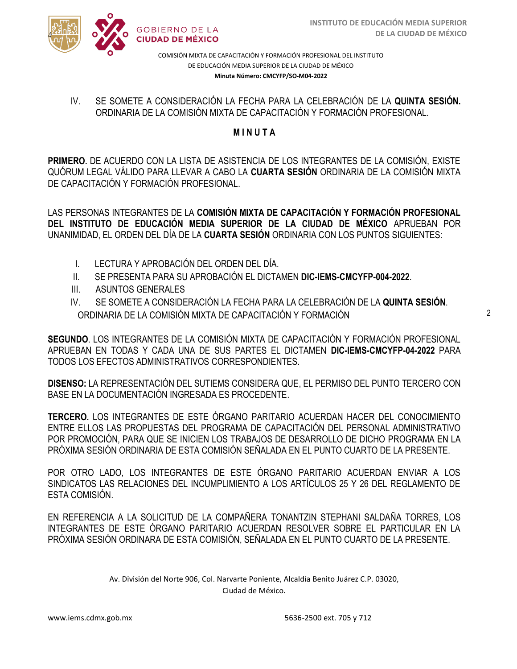

COMISIÓN MIXTA DE CAPACITACIÓN Y FORMACIÓN PROFESIONAL DEL INSTITUTO DE EDUCACIÓN MEDIA SUPERIOR DE LA CIUDAD DE MÉXICO **Minuta Número: CMCYFP/SO-M04-2022**

SE SOMETE A CONSIDENACIÓN EN LECTA LANA EN CELLBINACIÓN DE LA **QUINTA**<br>ORDINARIA DE LA COMISIÓN MIXTA DE CAPACITACIÓN Y FORMACIÓN PROFESIONAL. IV. SE SOMETE A CONSIDERACIÓN LA FECHA PARA LA CELEBRACIÓN DE LA **QUINTA SESIÓN.**

## **M I N U T A**

**PRIMERO.** DE ACUERDO CON LA LISTA DE ASISTENCIA DE LOS INTEGRANTES DE LA COMISIÓN, EXISTE QUÓRUM LEGAL VÁLIDO PARA LLEVAR A CABO LA **CUARTA SESIÓN** ORDINARIA DE LA COMISIÓN MIXTA DE CAPACITACIÓN Y FORMACIÓN PROFESIONAL.

LAS PERSONAS INTEGRANTES DE LA **COMISIÓN MIXTA DE CAPACITACIÓN Y FORMACIÓN PROFESIONAL DEL INSTITUTO DE EDUCACIÓN MEDIA SUPERIOR DE LA CIUDAD DE MÉXICO** APRUEBAN POR UNANIMIDAD, EL ORDEN DEL DÍA DE LA **CUARTA SESIÓN** ORDINARIA CON LOS PUNTOS SIGUIENTES:

- I. LECTURA Y APROBACIÓN DEL ORDEN DEL DÍA.
- II. SE PRESENTA PARA SU APROBACIÓN EL DICTAMEN **DIC-IEMS-CMCYFP-004-2022**.
- III. ASUNTOS GENERALES

4

IV. SE SOMETE A CONSIDERACIÓN LA FECHA PARA LA CELEBRACIÓN DE LA **QUINTA SESIÓN**. ORDINARIA DE LA COMISIÓN MIXTA DE CAPACITACIÓN Y FORMACIÓN

**SEGUNDO**. LOS INTEGRANTES DE LA COMISIÓN MIXTA DE CAPACITACIÓN Y FORMACIÓN PROFESIONAL APRUEBAN EN TODAS Y CADA UNA DE SUS PARTES EL DICTAMEN **DIC-IEMS-CMCYFP-04-2022** PARA TODOS LOS EFECTOS ADMINISTRATIVOS CORRESPONDIENTES.

**DISENSO:** LA REPRESENTACIÓN DEL SUTIEMS CONSIDERA QUE, EL PERMISO DEL PUNTO TERCERO CON BASE EN LA DOCUMENTACIÓN INGRESADA ES PROCEDENTE.

**TERCERO.** LOS INTEGRANTES DE ESTE ÓRGANO PARITARIO ACUERDAN HACER DEL CONOCIMIENTO ENTRE ELLOS LAS PROPUESTAS DEL PROGRAMA DE CAPACITACIÓN DEL PERSONAL ADMINISTRATIVO POR PROMOCIÓN, PARA QUE SE INICIEN LOS TRABAJOS DE DESARROLLO DE DICHO PROGRAMA EN LA PRÓXIMA SESIÓN ORDINARIA DE ESTA COMISIÓN SEÑALADA EN EL PUNTO CUARTO DE LA PRESENTE.

POR OTRO LADO, LOS INTEGRANTES DE ESTE ÓRGANO PARITARIO ACUERDAN ENVIAR A LOS SINDICATOS LAS RELACIONES DEL INCUMPLIMIENTO A LOS ARTÍCULOS 25 Y 26 DEL REGLAMENTO DE ESTA COMISIÓN.

EN REFERENCIA A LA SOLICITUD DE LA COMPAÑERA TONANTZIN STEPHANI SALDAÑA TORRES, LOS INTEGRANTES DE ESTE ÓRGANO PARITARIO ACUERDAN RESOLVER SOBRE EL PARTICULAR EN LA PRÓXIMA SESIÓN ORDINARA DE ESTA COMISIÓN, SEÑALADA EN EL PUNTO CUARTO DE LA PRESENTE.

> Av. División del Norte 906, Col. Narvarte Poniente, Alcaldía Benito Juárez C.P. 03020, Ciudad de México.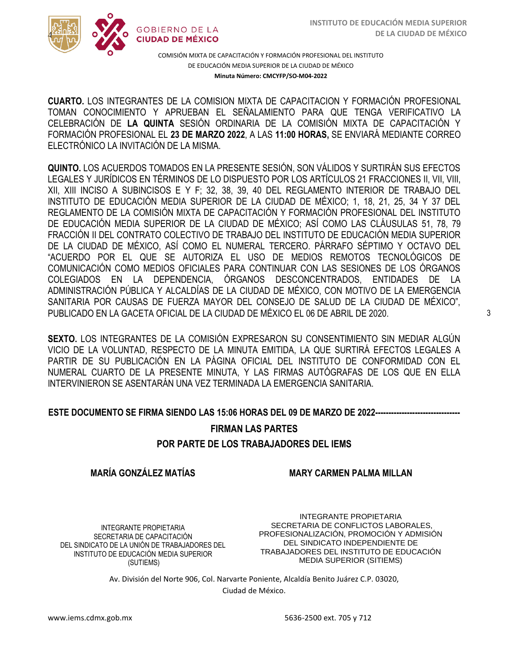

COMISIÓN MIXTA DE CAPACITACIÓN Y FORMACIÓN PROFESIONAL DEL INSTITUTO DE EDUCACIÓN MEDIA SUPERIOR DE LA CIUDAD DE MÉXICO **Minuta Número: CMCYFP/SO-M04-2022**

/2020 TOMAN CONOCIMIENTO Y APRUEBAN EL SEÑALAMIENTO PARA QUE TENGA VERIFICATIVO LA  CELEBRACIÓN DE **LA QUINTA** SESIÓN ORDINARIA DE LA COMISIÓN MIXTA DE CAPACITACIÓN Y **CUARTO.** LOS INTEGRANTES DE LA COMISION MIXTA DE CAPACITACION Y FORMACIÓN PROFESIONAL FORMACIÓN PROFESIONAL EL **23 DE MARZO 2022**, A LAS **11:00 HORAS,** SE ENVIARÁ MEDIANTE CORREO ELECTRÓNICO LA INVITACIÓN DE LA MISMA.

**QUINTO.** LOS ACUERDOS TOMADOS EN LA PRESENTE SESIÓN, SON VÁLIDOS Y SURTIRÁN SUS EFECTOS LEGALES Y JURÍDICOS EN TÉRMINOS DE LO DISPUESTO POR LOS ARTÍCULOS 21 FRACCIONES II, VII, VIII, XII, XIII INCISO A SUBINCISOS E Y F; 32, 38, 39, 40 DEL REGLAMENTO INTERIOR DE TRABAJO DEL INSTITUTO DE EDUCACIÓN MEDIA SUPERIOR DE LA CIUDAD DE MÉXICO; 1, 18, 21, 25, 34 Y 37 DEL REGLAMENTO DE LA COMISIÓN MIXTA DE CAPACITACIÓN Y FORMACIÓN PROFESIONAL DEL INSTITUTO DE EDUCACIÓN MEDIA SUPERIOR DE LA CIUDAD DE MÉXICO; ASÍ COMO LAS CLÁUSULAS 51, 78, 79 FRACCIÓN II DEL CONTRATO COLECTIVO DE TRABAJO DEL INSTITUTO DE EDUCACIÓN MEDIA SUPERIOR DE LA CIUDAD DE MÉXICO, ASÍ COMO EL NUMERAL TERCERO. PÁRRAFO SÉPTIMO Y OCTAVO DEL "ACUERDO POR EL QUE SE AUTORIZA EL USO DE MEDIOS REMOTOS TECNOLÓGICOS DE COMUNICACIÓN COMO MEDIOS OFICIALES PARA CONTINUAR CON LAS SESIONES DE LOS ÓRGANOS COLEGIADOS EN LA DEPENDENCIA, ÓRGANOS DESCONCENTRADOS, ENTIDADES DE LA ADMINISTRACIÓN PÚBLICA Y ALCALDÍAS DE LA CIUDAD DE MÉXICO, CON MOTIVO DE LA EMERGENCIA SANITARIA POR CAUSAS DE FUERZA MAYOR DEL CONSEJO DE SALUD DE LA CIUDAD DE MÉXICO", PUBLICADO EN LA GACETA OFICIAL DE LA CIUDAD DE MÉXICO EL 06 DE ABRIL DE 2020.

**SEXTO.** LOS INTEGRANTES DE LA COMISIÓN EXPRESARON SU CONSENTIMIENTO SIN MEDIAR ALGÚN VICIO DE LA VOLUNTAD, RESPECTO DE LA MINUTA EMITIDA, LA QUE SURTIRÁ EFECTOS LEGALES A PARTIR DE SU PUBLICACIÓN EN LA PÁGINA OFICIAL DEL INSTITUTO DE CONFORMIDAD CON EL NUMERAL CUARTO DE LA PRESENTE MINUTA, Y LAS FIRMAS AUTÓGRAFAS DE LOS QUE EN ELLA INTERVINIERON SE ASENTARÁN UNA VEZ TERMINADA LA EMERGENCIA SANITARIA.

#### **ESTE DOCUMENTO SE FIRMA SIENDO LAS 15:06 HORAS DEL 09 DE MARZO DE 2022--------------------------------**

# **FIRMAN LAS PARTES POR PARTE DE LOS TRABAJADORES DEL IEMS**

### **MARÍA GONZÁLEZ MATÍAS**

**MARY CARMEN PALMA MILLAN**

INTEGRANTE PROPIETARIA SECRETARIA DE CAPACITACIÓN DEL SINDICATO DE LA UNIÓN DE TRABAJADORES DEL INSTITUTO DE EDUCACIÓN MEDIA SUPERIOR (SUTIEMS)

INTEGRANTE PROPIETARIA SECRETARIA DE CONFLICTOS LABORALES, PROFESIONALIZACIÓN, PROMOCIÓN Y ADMISIÓN DEL SINDICATO INDEPENDIENTE DE TRABAJADORES DEL INSTITUTO DE EDUCACIÓN MEDIA SUPERIOR (SITIEMS)

Av. División del Norte 906, Col. Narvarte Poniente, Alcaldía Benito Juárez C.P. 03020, Ciudad de México.